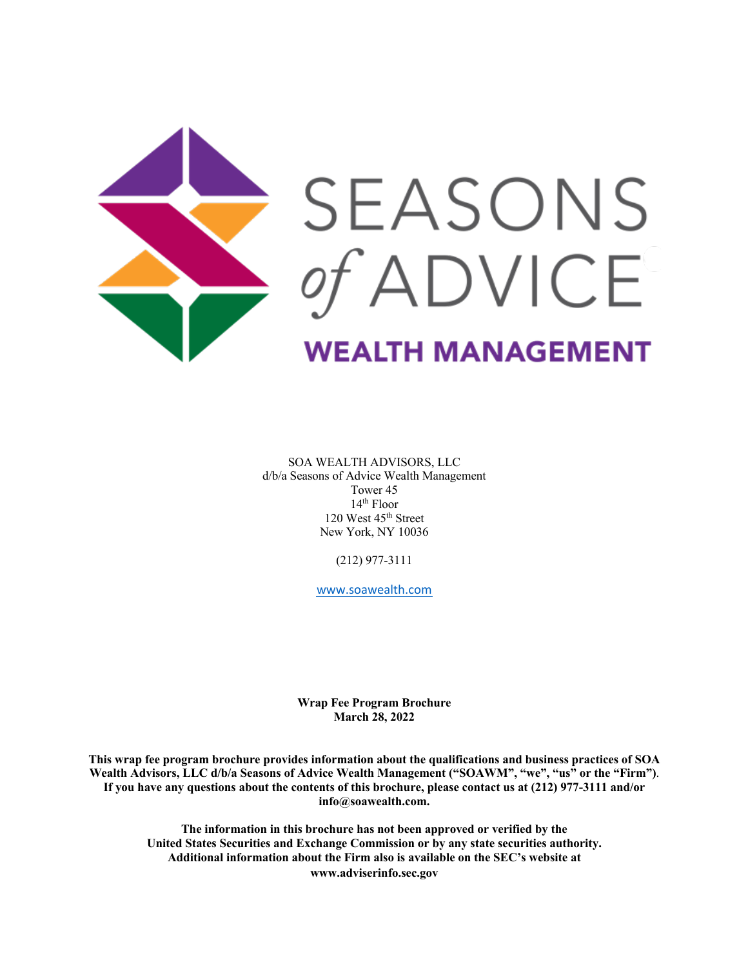

SOA WEALTH ADVISORS, LLC d/b/a Seasons of Advice Wealth Management Tower 45 14th Floor 120 West 45<sup>th</sup> Street New York, NY 10036

(212) 977-3111

www.soawealth.com

**Wrap Fee Program Brochure March 28, 2022**

**This wrap fee program brochure provides information about the qualifications and business practices of SOA Wealth Advisors, LLC d/b/a Seasons of Advice Wealth Management ("SOAWM", "we", "us" or the "Firm")**. **If you have any questions about the contents of this brochure, please contact us at (212) 977-3111 and/or info@soawealth.com.**

**The information in this brochure has not been approved or verified by the United States Securities and Exchange Commission or by any state securities authority. Additional information about the Firm also is available on the SEC's website at www.adviserinfo.sec.gov**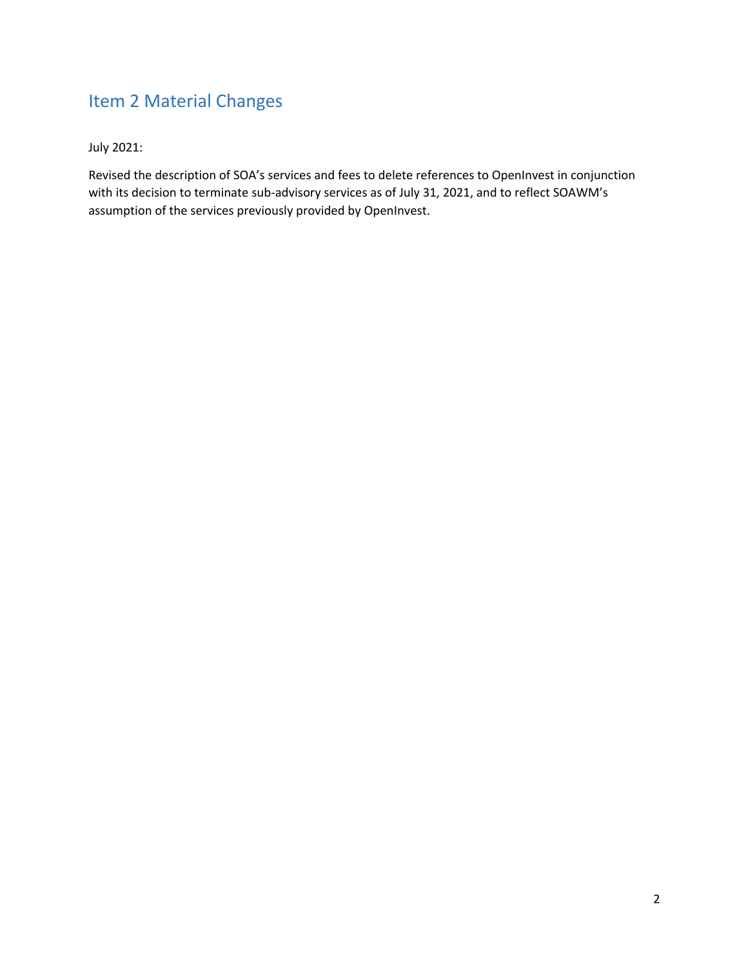# Item 2 Material Changes

July 2021:

Revised the description of SOA's services and fees to delete references to OpenInvest in conjunction with its decision to terminate sub-advisory services as of July 31, 2021, and to reflect SOAWM's assumption of the services previously provided by OpenInvest.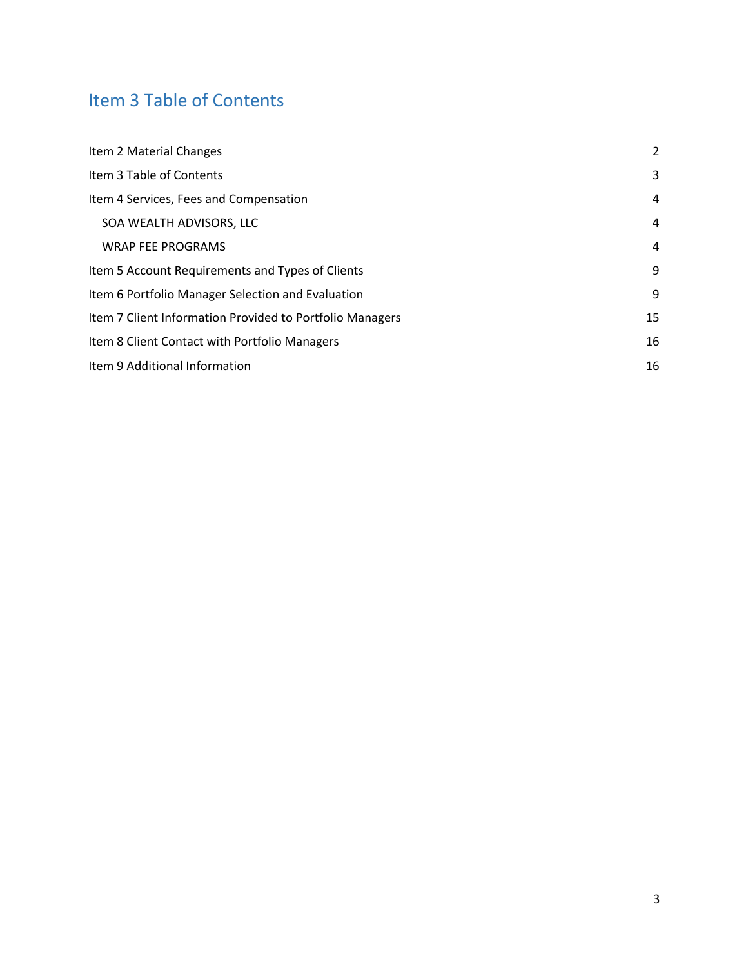# Item 3 Table of Contents

| Item 2 Material Changes                                  | 2  |
|----------------------------------------------------------|----|
| Item 3 Table of Contents                                 | 3  |
| Item 4 Services, Fees and Compensation                   | 4  |
| SOA WEALTH ADVISORS, LLC                                 | 4  |
| <b>WRAP FEE PROGRAMS</b>                                 | 4  |
| Item 5 Account Requirements and Types of Clients         | 9  |
| Item 6 Portfolio Manager Selection and Evaluation        | 9  |
| Item 7 Client Information Provided to Portfolio Managers | 15 |
| Item 8 Client Contact with Portfolio Managers            | 16 |
| Item 9 Additional Information                            | 16 |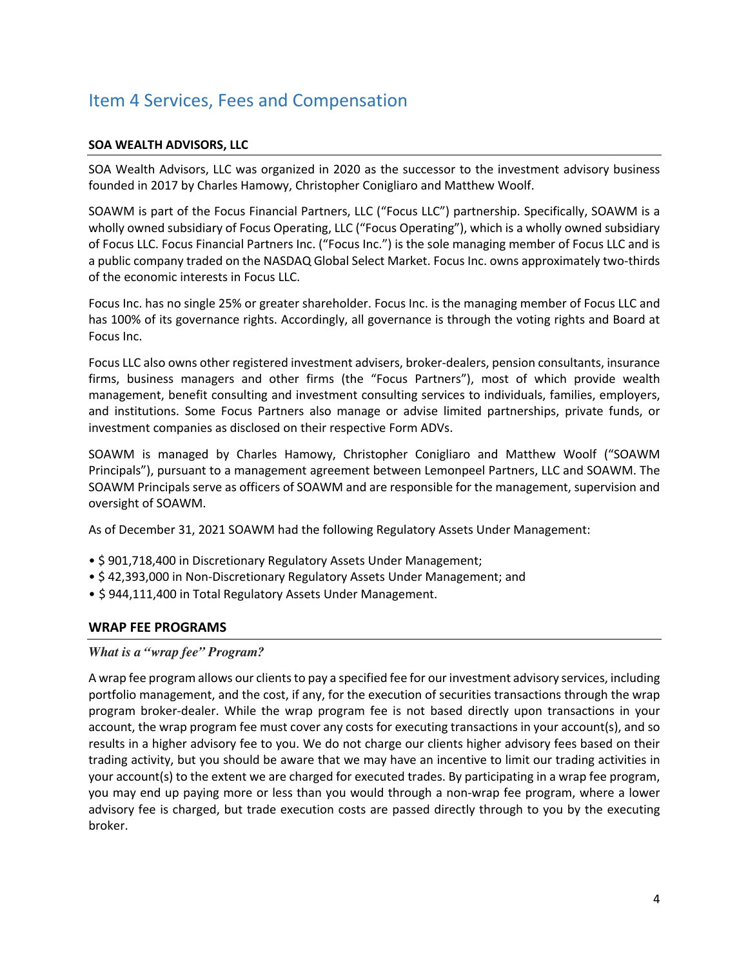## Item 4 Services, Fees and Compensation

## **SOA WEALTH ADVISORS, LLC**

SOA Wealth Advisors, LLC was organized in 2020 as the successor to the investment advisory business founded in 2017 by Charles Hamowy, Christopher Conigliaro and Matthew Woolf.

SOAWM is part of the Focus Financial Partners, LLC ("Focus LLC") partnership. Specifically, SOAWM is a wholly owned subsidiary of Focus Operating, LLC ("Focus Operating"), which is a wholly owned subsidiary of Focus LLC. Focus Financial Partners Inc. ("Focus Inc.") is the sole managing member of Focus LLC and is a public company traded on the NASDAQ Global Select Market. Focus Inc. owns approximately two-thirds of the economic interests in Focus LLC.

Focus Inc. has no single 25% or greater shareholder. Focus Inc. is the managing member of Focus LLC and has 100% of its governance rights. Accordingly, all governance is through the voting rights and Board at Focus Inc.

Focus LLC also owns other registered investment advisers, broker-dealers, pension consultants, insurance firms, business managers and other firms (the "Focus Partners"), most of which provide wealth management, benefit consulting and investment consulting services to individuals, families, employers, and institutions. Some Focus Partners also manage or advise limited partnerships, private funds, or investment companies as disclosed on their respective Form ADVs.

SOAWM is managed by Charles Hamowy, Christopher Conigliaro and Matthew Woolf ("SOAWM Principals"), pursuant to a management agreement between Lemonpeel Partners, LLC and SOAWM. The SOAWM Principals serve as officers of SOAWM and are responsible for the management, supervision and oversight of SOAWM.

As of December 31, 2021 SOAWM had the following Regulatory Assets Under Management:

- \$ 901,718,400 in Discretionary Regulatory Assets Under Management;
- \$ 42,393,000 in Non-Discretionary Regulatory Assets Under Management; and
- \$ 944,111,400 in Total Regulatory Assets Under Management.

## **WRAP FEE PROGRAMS**

## *What is a "wrap fee" Program?*

A wrap fee program allows our clients to pay a specified fee for our investment advisory services, including portfolio management, and the cost, if any, for the execution of securities transactions through the wrap program broker-dealer. While the wrap program fee is not based directly upon transactions in your account, the wrap program fee must cover any costs for executing transactions in your account(s), and so results in a higher advisory fee to you. We do not charge our clients higher advisory fees based on their trading activity, but you should be aware that we may have an incentive to limit our trading activities in your account(s) to the extent we are charged for executed trades. By participating in a wrap fee program, you may end up paying more or less than you would through a non-wrap fee program, where a lower advisory fee is charged, but trade execution costs are passed directly through to you by the executing broker.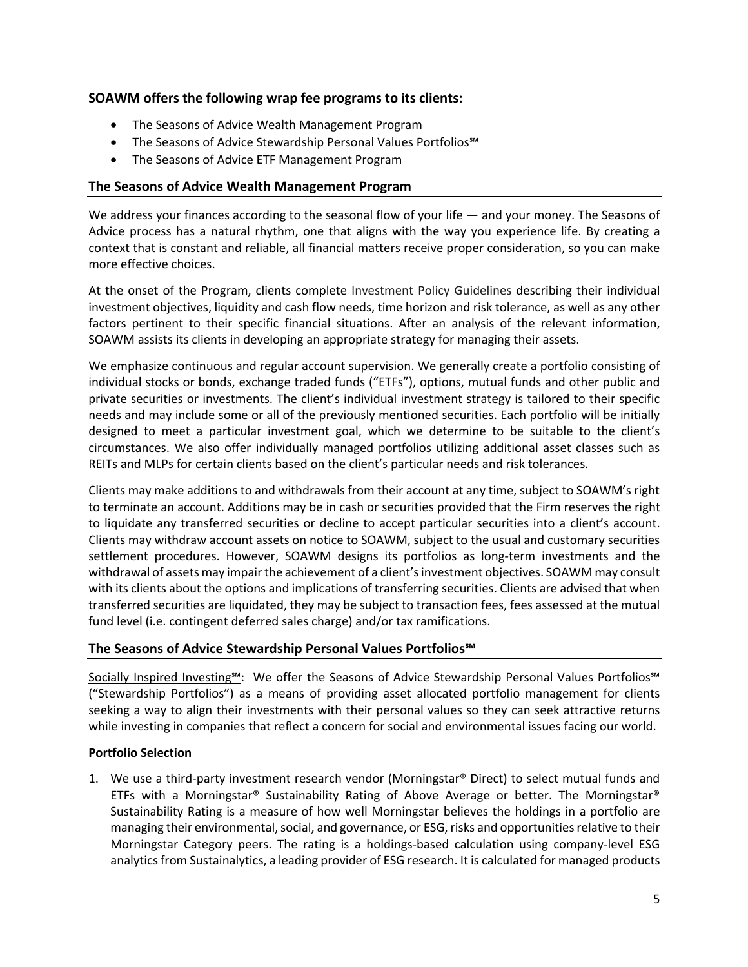## **SOAWM offers the following wrap fee programs to its clients:**

- The Seasons of Advice Wealth Management Program
- The Seasons of Advice Stewardship Personal Values Portfolios℠
- The Seasons of Advice ETF Management Program

## **The Seasons of Advice Wealth Management Program**

We address your finances according to the seasonal flow of your life — and your money. The Seasons of Advice process has a natural rhythm, one that aligns with the way you experience life. By creating a context that is constant and reliable, all financial matters receive proper consideration, so you can make more effective choices.

At the onset of the Program, clients complete Investment Policy Guidelines describing their individual investment objectives, liquidity and cash flow needs, time horizon and risk tolerance, as well as any other factors pertinent to their specific financial situations. After an analysis of the relevant information, SOAWM assists its clients in developing an appropriate strategy for managing their assets.

We emphasize continuous and regular account supervision. We generally create a portfolio consisting of individual stocks or bonds, exchange traded funds ("ETFs"), options, mutual funds and other public and private securities or investments. The client's individual investment strategy is tailored to their specific needs and may include some or all of the previously mentioned securities. Each portfolio will be initially designed to meet a particular investment goal, which we determine to be suitable to the client's circumstances. We also offer individually managed portfolios utilizing additional asset classes such as REITs and MLPs for certain clients based on the client's particular needs and risk tolerances.

Clients may make additions to and withdrawals from their account at any time, subject to SOAWM's right to terminate an account. Additions may be in cash or securities provided that the Firm reserves the right to liquidate any transferred securities or decline to accept particular securities into a client's account. Clients may withdraw account assets on notice to SOAWM, subject to the usual and customary securities settlement procedures. However, SOAWM designs its portfolios as long-term investments and the withdrawal of assets may impair the achievement of a client's investment objectives. SOAWM may consult with its clients about the options and implications of transferring securities. Clients are advised that when transferred securities are liquidated, they may be subject to transaction fees, fees assessed at the mutual fund level (i.e. contingent deferred sales charge) and/or tax ramifications.

## **The Seasons of Advice Stewardship Personal Values Portfolios℠**

Socially Inspired Investing<sup>s</sup>": We offer the Seasons of Advice Stewardship Personal Values Portfolios<sup>s M</sup> ("Stewardship Portfolios") as a means of providing asset allocated portfolio management for clients seeking a way to align their investments with their personal values so they can seek attractive returns while investing in companies that reflect a concern for social and environmental issues facing our world.

## **Portfolio Selection**

1. We use a third-party investment research vendor (Morningstar® Direct) to select mutual funds and ETFs with a Morningstar® Sustainability Rating of Above Average or better. The Morningstar® Sustainability Rating is a measure of how well Morningstar believes the holdings in a portfolio are managing their environmental, social, and governance, or ESG, risks and opportunities relative to their Morningstar Category peers. The rating is a holdings-based calculation using company-level ESG analytics from Sustainalytics, a leading provider of ESG research. It is calculated for managed products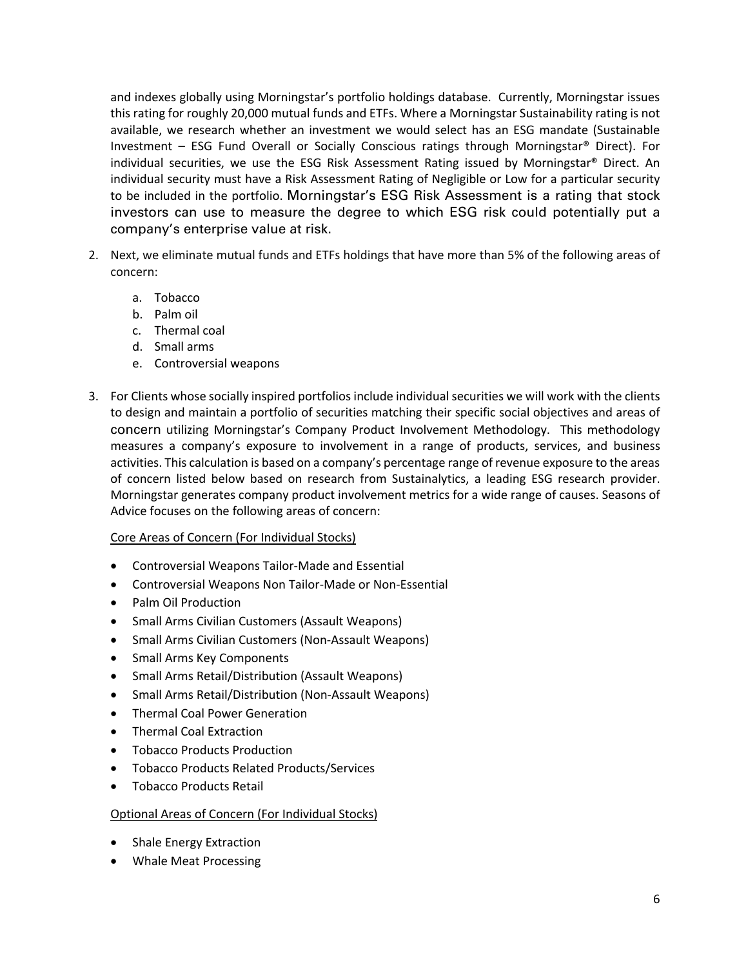and indexes globally using Morningstar's portfolio holdings database. Currently, Morningstar issues this rating for roughly 20,000 mutual funds and ETFs. Where a Morningstar Sustainability rating is not available, we research whether an investment we would select has an ESG mandate (Sustainable Investment – ESG Fund Overall or Socially Conscious ratings through Morningstar® Direct). For individual securities, we use the ESG Risk Assessment Rating issued by Morningstar® Direct. An individual security must have a Risk Assessment Rating of Negligible or Low for a particular security to be included in the portfolio. Morningstar's ESG Risk Assessment is a rating that stock investors can use to measure the degree to which ESG risk could potentially put a company's enterprise value at risk.

- 2. Next, we eliminate mutual funds and ETFs holdings that have more than 5% of the following areas of concern:
	- a. Tobacco
	- b. Palm oil
	- c. Thermal coal
	- d. Small arms
	- e. Controversial weapons
- 3. For Clients whose socially inspired portfolios include individual securities we will work with the clients to design and maintain a portfolio of securities matching their specific social objectives and areas of concern utilizing Morningstar's Company Product Involvement Methodology. This methodology measures a company's exposure to involvement in a range of products, services, and business activities. This calculation is based on a company's percentage range of revenue exposure to the areas of concern listed below based on research from Sustainalytics, a leading ESG research provider. Morningstar generates company product involvement metrics for a wide range of causes. Seasons of Advice focuses on the following areas of concern:

## Core Areas of Concern (For Individual Stocks)

- Controversial Weapons Tailor-Made and Essential
- Controversial Weapons Non Tailor-Made or Non-Essential
- Palm Oil Production
- Small Arms Civilian Customers (Assault Weapons)
- Small Arms Civilian Customers (Non-Assault Weapons)
- Small Arms Key Components
- Small Arms Retail/Distribution (Assault Weapons)
- Small Arms Retail/Distribution (Non-Assault Weapons)
- Thermal Coal Power Generation
- Thermal Coal Extraction
- Tobacco Products Production
- Tobacco Products Related Products/Services
- Tobacco Products Retail

## Optional Areas of Concern (For Individual Stocks)

- Shale Energy Extraction
- Whale Meat Processing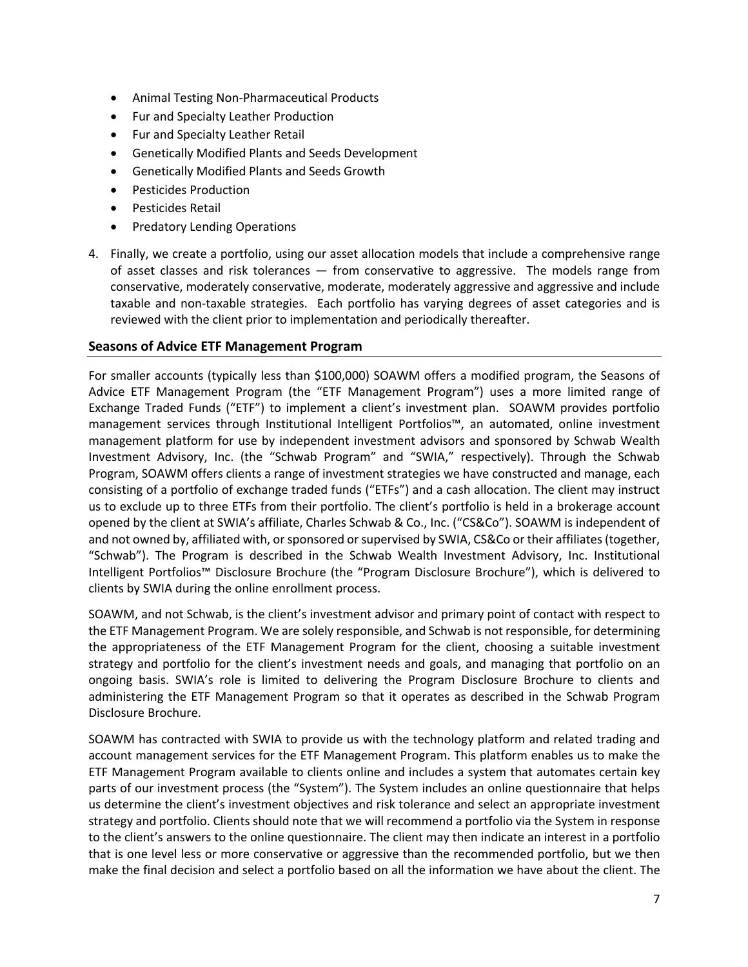- Animal Testing Non-Pharmaceutical Products
- Fur and Specialty Leather Production
- Fur and Specialty Leather Retail
- Genetically Modified Plants and Seeds Development
- Genetically Modified Plants and Seeds Growth
- Pesticides Production
- Pesticides Retail
- Predatory Lending Operations
- 4. Finally, we create a portfolio, using our asset allocation models that include a comprehensive range of asset classes and risk tolerances — from conservative to aggressive. The models range from conservative, moderately conservative, moderate, moderately aggressive and aggressive and include taxable and non-taxable strategies. Each portfolio has varying degrees of asset categories and is reviewed with the client prior to implementation and periodically thereafter.

## **Seasons of Advice ETF Management Program**

For smaller accounts (typically less than \$100,000) SOAWM offers a modified program, the Seasons of Advice ETF Management Program (the "ETF Management Program") uses a more limited range of Exchange Traded Funds ("ETF") to implement a client's investment plan. SOAWM provides portfolio management services through Institutional Intelligent Portfolios™, an automated, online investment management platform for use by independent investment advisors and sponsored by Schwab Wealth Investment Advisory, Inc. (the "Schwab Program" and "SWIA," respectively). Through the Schwab Program, SOAWM offers clients a range of investment strategies we have constructed and manage, each consisting of a portfolio of exchange traded funds ("ETFs") and a cash allocation. The client may instruct us to exclude up to three ETFs from their portfolio. The client's portfolio is held in a brokerage account opened by the client at SWIA's affiliate, Charles Schwab & Co., Inc. ("CS&Co"). SOAWM is independent of and not owned by, affiliated with, or sponsored or supervised by SWIA, CS&Co or their affiliates (together, "Schwab"). The Program is described in the Schwab Wealth Investment Advisory, Inc. Institutional Intelligent Portfolios™ Disclosure Brochure (the "Program Disclosure Brochure"), which is delivered to clients by SWIA during the online enrollment process.

SOAWM, and not Schwab, is the client's investment advisor and primary point of contact with respect to the ETF Management Program. We are solely responsible, and Schwab is not responsible, for determining the appropriateness of the ETF Management Program for the client, choosing a suitable investment strategy and portfolio for the client's investment needs and goals, and managing that portfolio on an ongoing basis. SWIA's role is limited to delivering the Program Disclosure Brochure to clients and administering the ETF Management Program so that it operates as described in the Schwab Program Disclosure Brochure.

SOAWM has contracted with SWIA to provide us with the technology platform and related trading and account management services for the ETF Management Program. This platform enables us to make the ETF Management Program available to clients online and includes a system that automates certain key parts of our investment process (the "System"). The System includes an online questionnaire that helps us determine the client's investment objectives and risk tolerance and select an appropriate investment strategy and portfolio. Clients should note that we will recommend a portfolio via the System in response to the client's answers to the online questionnaire. The client may then indicate an interest in a portfolio that is one level less or more conservative or aggressive than the recommended portfolio, but we then make the final decision and select a portfolio based on all the information we have about the client. The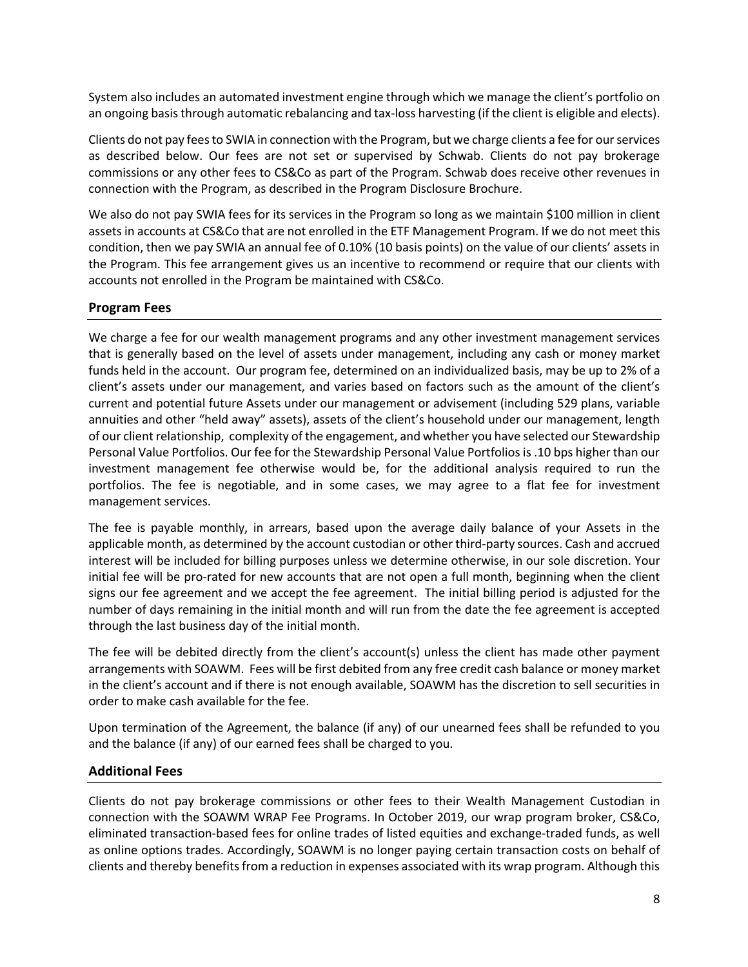System also includes an automated investment engine through which we manage the client's portfolio on an ongoing basis through automatic rebalancing and tax-loss harvesting (if the client is eligible and elects).

Clients do not pay fees to SWIA in connection with the Program, but we charge clients a fee for our services as described below. Our fees are not set or supervised by Schwab. Clients do not pay brokerage commissions or any other fees to CS&Co as part of the Program. Schwab does receive other revenues in connection with the Program, as described in the Program Disclosure Brochure.

We also do not pay SWIA fees for its services in the Program so long as we maintain \$100 million in client assets in accounts at CS&Co that are not enrolled in the ETF Management Program. If we do not meet this condition, then we pay SWIA an annual fee of 0.10% (10 basis points) on the value of our clients' assets in the Program. This fee arrangement gives us an incentive to recommend or require that our clients with accounts not enrolled in the Program be maintained with CS&Co.

## **Program Fees**

We charge a fee for our wealth management programs and any other investment management services that is generally based on the level of assets under management, including any cash or money market funds held in the account. Our program fee, determined on an individualized basis, may be up to 2% of a client's assets under our management, and varies based on factors such as the amount of the client's current and potential future Assets under our management or advisement (including 529 plans, variable annuities and other "held away" assets), assets of the client's household under our management, length of our client relationship, complexity of the engagement, and whether you have selected our Stewardship Personal Value Portfolios. Our fee for the Stewardship Personal Value Portfolios is .10 bps higher than our investment management fee otherwise would be, for the additional analysis required to run the portfolios. The fee is negotiable, and in some cases, we may agree to a flat fee for investment management services.

The fee is payable monthly, in arrears, based upon the average daily balance of your Assets in the applicable month, as determined by the account custodian or other third-party sources. Cash and accrued interest will be included for billing purposes unless we determine otherwise, in our sole discretion. Your initial fee will be pro-rated for new accounts that are not open a full month, beginning when the client signs our fee agreement and we accept the fee agreement. The initial billing period is adjusted for the number of days remaining in the initial month and will run from the date the fee agreement is accepted through the last business day of the initial month.

The fee will be debited directly from the client's account(s) unless the client has made other payment arrangements with SOAWM. Fees will be first debited from any free credit cash balance or money market in the client's account and if there is not enough available, SOAWM has the discretion to sell securities in order to make cash available for the fee.

Upon termination of the Agreement, the balance (if any) of our unearned fees shall be refunded to you and the balance (if any) of our earned fees shall be charged to you.

## **Additional Fees**

Clients do not pay brokerage commissions or other fees to their Wealth Management Custodian in connection with the SOAWM WRAP Fee Programs. In October 2019, our wrap program broker, CS&Co, eliminated transaction-based fees for online trades of listed equities and exchange-traded funds, as well as online options trades. Accordingly, SOAWM is no longer paying certain transaction costs on behalf of clients and thereby benefits from a reduction in expenses associated with its wrap program. Although this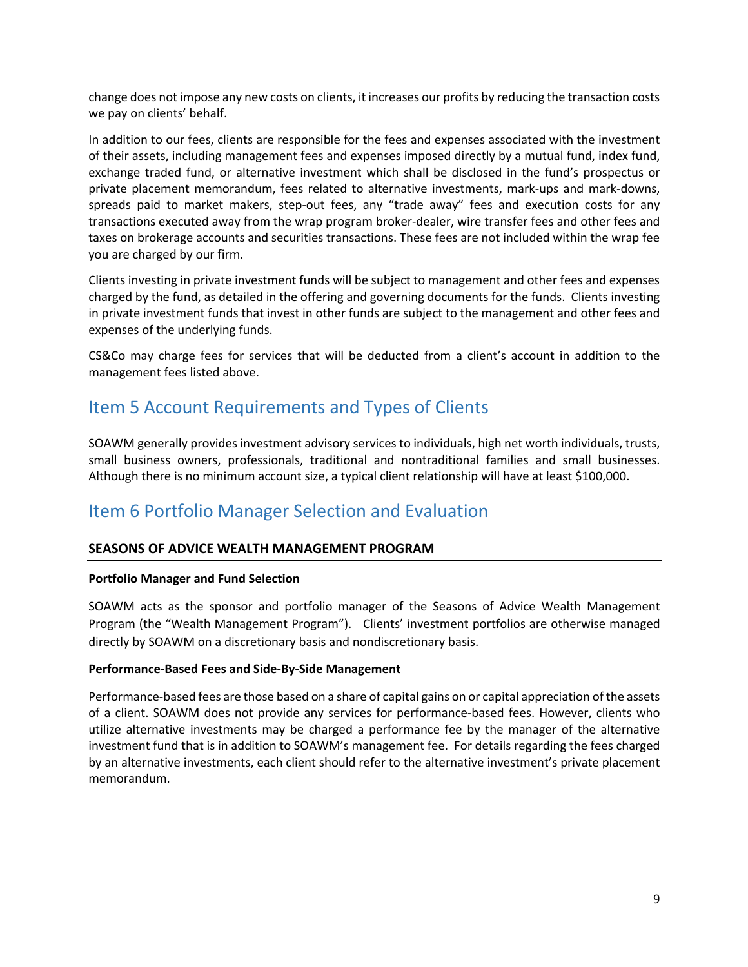change does not impose any new costs on clients, it increases our profits by reducing the transaction costs we pay on clients' behalf.

In addition to our fees, clients are responsible for the fees and expenses associated with the investment of their assets, including management fees and expenses imposed directly by a mutual fund, index fund, exchange traded fund, or alternative investment which shall be disclosed in the fund's prospectus or private placement memorandum, fees related to alternative investments, mark-ups and mark-downs, spreads paid to market makers, step-out fees, any "trade away" fees and execution costs for any transactions executed away from the wrap program broker-dealer, wire transfer fees and other fees and taxes on brokerage accounts and securities transactions. These fees are not included within the wrap fee you are charged by our firm.

Clients investing in private investment funds will be subject to management and other fees and expenses charged by the fund, as detailed in the offering and governing documents for the funds. Clients investing in private investment funds that invest in other funds are subject to the management and other fees and expenses of the underlying funds.

CS&Co may charge fees for services that will be deducted from a client's account in addition to the management fees listed above.

## Item 5 Account Requirements and Types of Clients

SOAWM generally provides investment advisory services to individuals, high net worth individuals, trusts, small business owners, professionals, traditional and nontraditional families and small businesses. Although there is no minimum account size, a typical client relationship will have at least \$100,000.

## Item 6 Portfolio Manager Selection and Evaluation

## **SEASONS OF ADVICE WEALTH MANAGEMENT PROGRAM**

## **Portfolio Manager and Fund Selection**

SOAWM acts as the sponsor and portfolio manager of the Seasons of Advice Wealth Management Program (the "Wealth Management Program"). Clients' investment portfolios are otherwise managed directly by SOAWM on a discretionary basis and nondiscretionary basis.

## **Performance-Based Fees and Side-By-Side Management**

Performance-based fees are those based on a share of capital gains on or capital appreciation of the assets of a client. SOAWM does not provide any services for performance-based fees. However, clients who utilize alternative investments may be charged a performance fee by the manager of the alternative investment fund that is in addition to SOAWM's management fee. For details regarding the fees charged by an alternative investments, each client should refer to the alternative investment's private placement memorandum.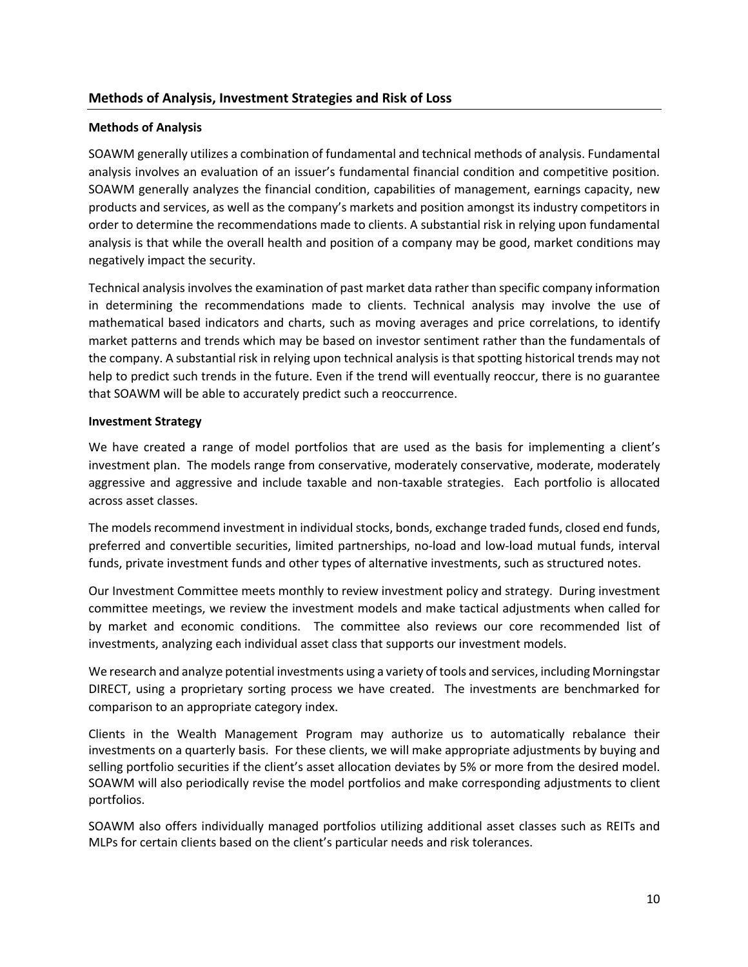## **Methods of Analysis**

SOAWM generally utilizes a combination of fundamental and technical methods of analysis. Fundamental analysis involves an evaluation of an issuer's fundamental financial condition and competitive position. SOAWM generally analyzes the financial condition, capabilities of management, earnings capacity, new products and services, as well as the company's markets and position amongst its industry competitors in order to determine the recommendations made to clients. A substantial risk in relying upon fundamental analysis is that while the overall health and position of a company may be good, market conditions may negatively impact the security.

Technical analysis involves the examination of past market data rather than specific company information in determining the recommendations made to clients. Technical analysis may involve the use of mathematical based indicators and charts, such as moving averages and price correlations, to identify market patterns and trends which may be based on investor sentiment rather than the fundamentals of the company. A substantial risk in relying upon technical analysis is that spotting historical trends may not help to predict such trends in the future. Even if the trend will eventually reoccur, there is no guarantee that SOAWM will be able to accurately predict such a reoccurrence.

## **Investment Strategy**

We have created a range of model portfolios that are used as the basis for implementing a client's investment plan. The models range from conservative, moderately conservative, moderate, moderately aggressive and aggressive and include taxable and non-taxable strategies. Each portfolio is allocated across asset classes.

The models recommend investment in individual stocks, bonds, exchange traded funds, closed end funds, preferred and convertible securities, limited partnerships, no-load and low-load mutual funds, interval funds, private investment funds and other types of alternative investments, such as structured notes.

Our Investment Committee meets monthly to review investment policy and strategy. During investment committee meetings, we review the investment models and make tactical adjustments when called for by market and economic conditions. The committee also reviews our core recommended list of investments, analyzing each individual asset class that supports our investment models.

We research and analyze potential investments using a variety of tools and services, including Morningstar DIRECT, using a proprietary sorting process we have created. The investments are benchmarked for comparison to an appropriate category index.

Clients in the Wealth Management Program may authorize us to automatically rebalance their investments on a quarterly basis. For these clients, we will make appropriate adjustments by buying and selling portfolio securities if the client's asset allocation deviates by 5% or more from the desired model. SOAWM will also periodically revise the model portfolios and make corresponding adjustments to client portfolios.

SOAWM also offers individually managed portfolios utilizing additional asset classes such as REITs and MLPs for certain clients based on the client's particular needs and risk tolerances.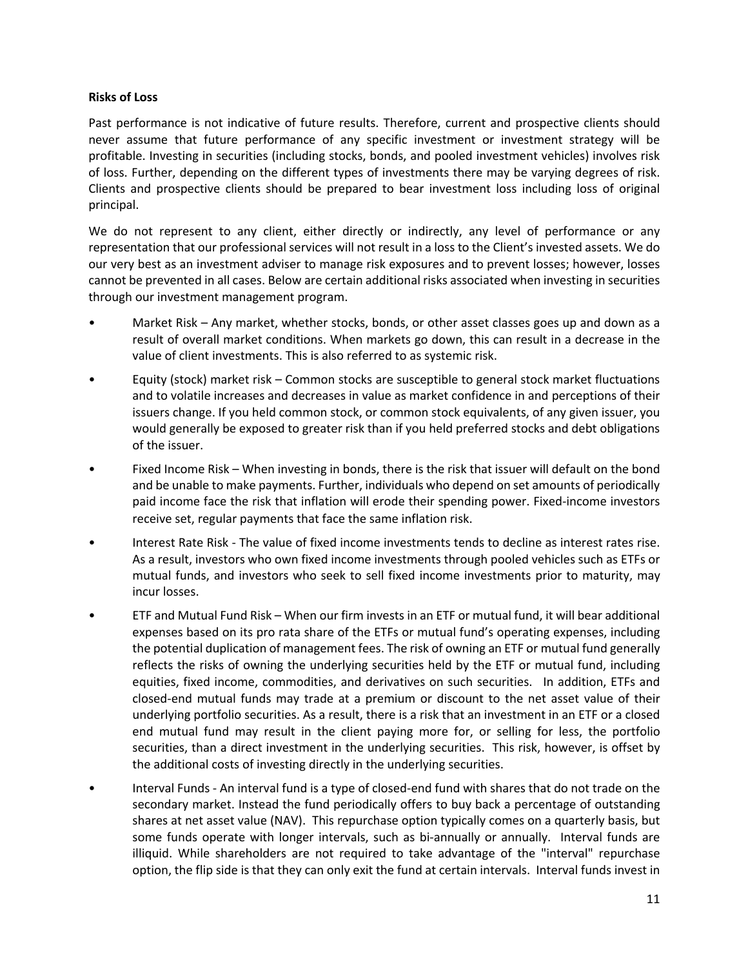## **Risks of Loss**

Past performance is not indicative of future results. Therefore, current and prospective clients should never assume that future performance of any specific investment or investment strategy will be profitable. Investing in securities (including stocks, bonds, and pooled investment vehicles) involves risk of loss. Further, depending on the different types of investments there may be varying degrees of risk. Clients and prospective clients should be prepared to bear investment loss including loss of original principal.

We do not represent to any client, either directly or indirectly, any level of performance or any representation that our professional services will not result in a loss to the Client's invested assets. We do our very best as an investment adviser to manage risk exposures and to prevent losses; however, losses cannot be prevented in all cases. Below are certain additional risks associated when investing in securities through our investment management program.

- Market Risk Any market, whether stocks, bonds, or other asset classes goes up and down as a result of overall market conditions. When markets go down, this can result in a decrease in the value of client investments. This is also referred to as systemic risk.
- Equity (stock) market risk Common stocks are susceptible to general stock market fluctuations and to volatile increases and decreases in value as market confidence in and perceptions of their issuers change. If you held common stock, or common stock equivalents, of any given issuer, you would generally be exposed to greater risk than if you held preferred stocks and debt obligations of the issuer.
- Fixed Income Risk When investing in bonds, there is the risk that issuer will default on the bond and be unable to make payments. Further, individuals who depend on set amounts of periodically paid income face the risk that inflation will erode their spending power. Fixed-income investors receive set, regular payments that face the same inflation risk.
- Interest Rate Risk The value of fixed income investments tends to decline as interest rates rise. As a result, investors who own fixed income investments through pooled vehicles such as ETFs or mutual funds, and investors who seek to sell fixed income investments prior to maturity, may incur losses.
- ETF and Mutual Fund Risk When our firm invests in an ETF or mutual fund, it will bear additional expenses based on its pro rata share of the ETFs or mutual fund's operating expenses, including the potential duplication of management fees. The risk of owning an ETF or mutual fund generally reflects the risks of owning the underlying securities held by the ETF or mutual fund, including equities, fixed income, commodities, and derivatives on such securities. In addition, ETFs and closed-end mutual funds may trade at a premium or discount to the net asset value of their underlying portfolio securities. As a result, there is a risk that an investment in an ETF or a closed end mutual fund may result in the client paying more for, or selling for less, the portfolio securities, than a direct investment in the underlying securities. This risk, however, is offset by the additional costs of investing directly in the underlying securities.
- Interval Funds An interval fund is a type of closed-end fund with shares that do not trade on the secondary market. Instead the fund periodically offers to buy back a percentage of outstanding shares at net asset value (NAV). This repurchase option typically comes on a quarterly basis, but some funds operate with longer intervals, such as bi-annually or annually. Interval funds are illiquid. While shareholders are not required to take advantage of the "interval" repurchase option, the flip side is that they can only exit the fund at certain intervals. Interval funds invest in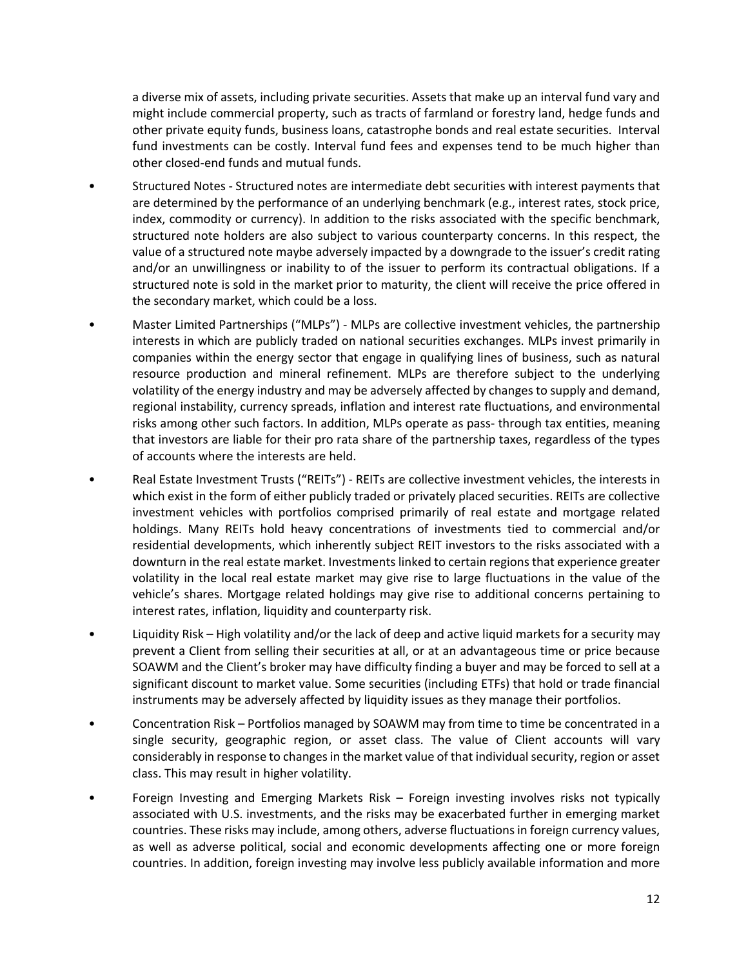a diverse mix of assets, including private securities. Assets that make up an interval fund vary and might include commercial property, such as tracts of farmland or forestry land, hedge funds and other private equity funds, business loans, catastrophe bonds and real estate securities. Interval fund investments can be costly. Interval fund fees and expenses tend to be much higher than other closed-end funds and mutual funds.

- Structured Notes Structured notes are intermediate debt securities with interest payments that are determined by the performance of an underlying benchmark (e.g., interest rates, stock price, index, commodity or currency). In addition to the risks associated with the specific benchmark, structured note holders are also subject to various counterparty concerns. In this respect, the value of a structured note maybe adversely impacted by a downgrade to the issuer's credit rating and/or an unwillingness or inability to of the issuer to perform its contractual obligations. If a structured note is sold in the market prior to maturity, the client will receive the price offered in the secondary market, which could be a loss.
- Master Limited Partnerships ("MLPs") MLPs are collective investment vehicles, the partnership interests in which are publicly traded on national securities exchanges. MLPs invest primarily in companies within the energy sector that engage in qualifying lines of business, such as natural resource production and mineral refinement. MLPs are therefore subject to the underlying volatility of the energy industry and may be adversely affected by changes to supply and demand, regional instability, currency spreads, inflation and interest rate fluctuations, and environmental risks among other such factors. In addition, MLPs operate as pass- through tax entities, meaning that investors are liable for their pro rata share of the partnership taxes, regardless of the types of accounts where the interests are held.
- Real Estate Investment Trusts ("REITs") REITs are collective investment vehicles, the interests in which exist in the form of either publicly traded or privately placed securities. REITs are collective investment vehicles with portfolios comprised primarily of real estate and mortgage related holdings. Many REITs hold heavy concentrations of investments tied to commercial and/or residential developments, which inherently subject REIT investors to the risks associated with a downturn in the real estate market. Investments linked to certain regions that experience greater volatility in the local real estate market may give rise to large fluctuations in the value of the vehicle's shares. Mortgage related holdings may give rise to additional concerns pertaining to interest rates, inflation, liquidity and counterparty risk.
- Liquidity Risk High volatility and/or the lack of deep and active liquid markets for a security may prevent a Client from selling their securities at all, or at an advantageous time or price because SOAWM and the Client's broker may have difficulty finding a buyer and may be forced to sell at a significant discount to market value. Some securities (including ETFs) that hold or trade financial instruments may be adversely affected by liquidity issues as they manage their portfolios.
- Concentration Risk Portfolios managed by SOAWM may from time to time be concentrated in a single security, geographic region, or asset class. The value of Client accounts will vary considerably in response to changes in the market value of that individual security, region or asset class. This may result in higher volatility.
- Foreign Investing and Emerging Markets Risk Foreign investing involves risks not typically associated with U.S. investments, and the risks may be exacerbated further in emerging market countries. These risks may include, among others, adverse fluctuations in foreign currency values, as well as adverse political, social and economic developments affecting one or more foreign countries. In addition, foreign investing may involve less publicly available information and more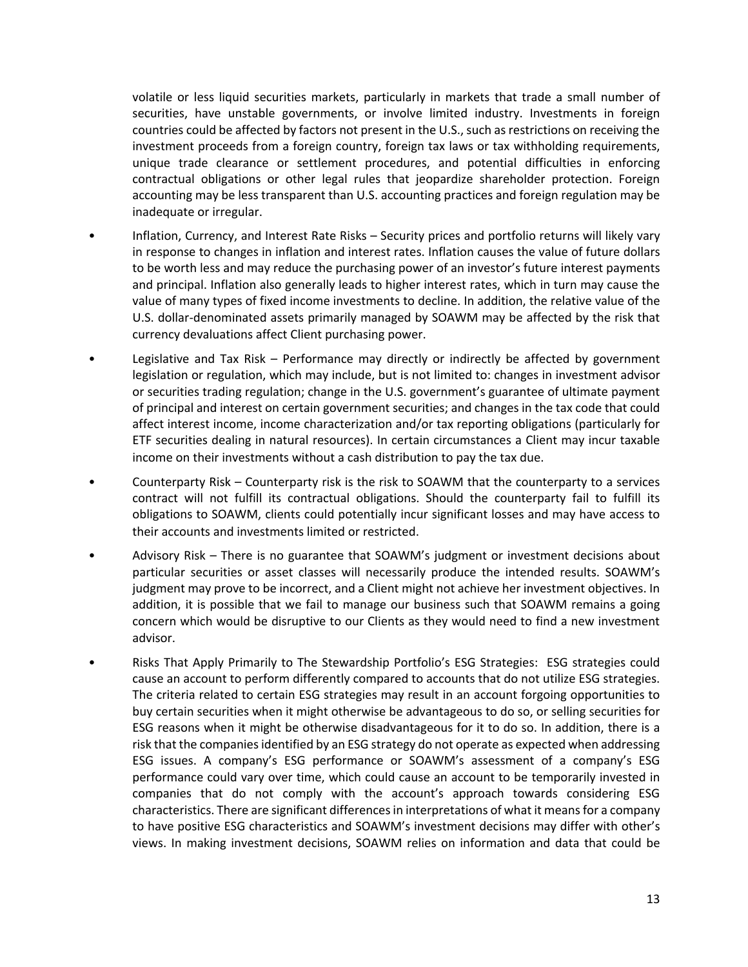volatile or less liquid securities markets, particularly in markets that trade a small number of securities, have unstable governments, or involve limited industry. Investments in foreign countries could be affected by factors not present in the U.S., such as restrictions on receiving the investment proceeds from a foreign country, foreign tax laws or tax withholding requirements, unique trade clearance or settlement procedures, and potential difficulties in enforcing contractual obligations or other legal rules that jeopardize shareholder protection. Foreign accounting may be less transparent than U.S. accounting practices and foreign regulation may be inadequate or irregular.

- Inflation, Currency, and Interest Rate Risks Security prices and portfolio returns will likely vary in response to changes in inflation and interest rates. Inflation causes the value of future dollars to be worth less and may reduce the purchasing power of an investor's future interest payments and principal. Inflation also generally leads to higher interest rates, which in turn may cause the value of many types of fixed income investments to decline. In addition, the relative value of the U.S. dollar-denominated assets primarily managed by SOAWM may be affected by the risk that currency devaluations affect Client purchasing power.
- Legislative and Tax Risk Performance may directly or indirectly be affected by government legislation or regulation, which may include, but is not limited to: changes in investment advisor or securities trading regulation; change in the U.S. government's guarantee of ultimate payment of principal and interest on certain government securities; and changes in the tax code that could affect interest income, income characterization and/or tax reporting obligations (particularly for ETF securities dealing in natural resources). In certain circumstances a Client may incur taxable income on their investments without a cash distribution to pay the tax due.
- Counterparty Risk Counterparty risk is the risk to SOAWM that the counterparty to a services contract will not fulfill its contractual obligations. Should the counterparty fail to fulfill its obligations to SOAWM, clients could potentially incur significant losses and may have access to their accounts and investments limited or restricted.
- Advisory Risk There is no guarantee that SOAWM's judgment or investment decisions about particular securities or asset classes will necessarily produce the intended results. SOAWM's judgment may prove to be incorrect, and a Client might not achieve her investment objectives. In addition, it is possible that we fail to manage our business such that SOAWM remains a going concern which would be disruptive to our Clients as they would need to find a new investment advisor.
- Risks That Apply Primarily to The Stewardship Portfolio's ESG Strategies: ESG strategies could cause an account to perform differently compared to accounts that do not utilize ESG strategies. The criteria related to certain ESG strategies may result in an account forgoing opportunities to buy certain securities when it might otherwise be advantageous to do so, or selling securities for ESG reasons when it might be otherwise disadvantageous for it to do so. In addition, there is a risk that the companies identified by an ESG strategy do not operate as expected when addressing ESG issues. A company's ESG performance or SOAWM's assessment of a company's ESG performance could vary over time, which could cause an account to be temporarily invested in companies that do not comply with the account's approach towards considering ESG characteristics. There are significant differences in interpretations of what it means for a company to have positive ESG characteristics and SOAWM's investment decisions may differ with other's views. In making investment decisions, SOAWM relies on information and data that could be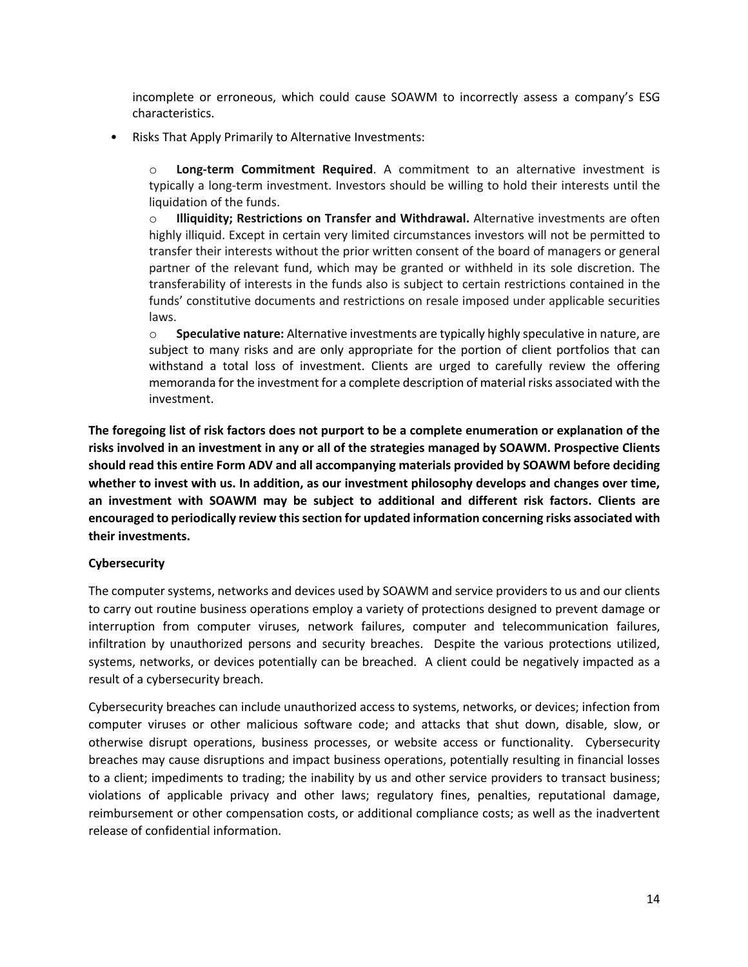incomplete or erroneous, which could cause SOAWM to incorrectly assess a company's ESG characteristics.

• Risks That Apply Primarily to Alternative Investments:

o **Long-term Commitment Required**. A commitment to an alternative investment is typically a long-term investment. Investors should be willing to hold their interests until the liquidation of the funds.

o **Illiquidity; Restrictions on Transfer and Withdrawal.** Alternative investments are often highly illiquid. Except in certain very limited circumstances investors will not be permitted to transfer their interests without the prior written consent of the board of managers or general partner of the relevant fund, which may be granted or withheld in its sole discretion. The transferability of interests in the funds also is subject to certain restrictions contained in the funds' constitutive documents and restrictions on resale imposed under applicable securities laws.

o **Speculative nature:** Alternative investments are typically highly speculative in nature, are subject to many risks and are only appropriate for the portion of client portfolios that can withstand a total loss of investment. Clients are urged to carefully review the offering memoranda for the investment for a complete description of material risks associated with the investment.

**The foregoing list of risk factors does not purport to be a complete enumeration or explanation of the risks involved in an investment in any or all of the strategies managed by SOAWM. Prospective Clients should read this entire Form ADV and all accompanying materials provided by SOAWM before deciding whether to invest with us. In addition, as our investment philosophy develops and changes over time, an investment with SOAWM may be subject to additional and different risk factors. Clients are encouraged to periodically review this section for updated information concerning risks associated with their investments.**

## **Cybersecurity**

The computer systems, networks and devices used by SOAWM and service providers to us and our clients to carry out routine business operations employ a variety of protections designed to prevent damage or interruption from computer viruses, network failures, computer and telecommunication failures, infiltration by unauthorized persons and security breaches. Despite the various protections utilized, systems, networks, or devices potentially can be breached. A client could be negatively impacted as a result of a cybersecurity breach.

Cybersecurity breaches can include unauthorized access to systems, networks, or devices; infection from computer viruses or other malicious software code; and attacks that shut down, disable, slow, or otherwise disrupt operations, business processes, or website access or functionality. Cybersecurity breaches may cause disruptions and impact business operations, potentially resulting in financial losses to a client; impediments to trading; the inability by us and other service providers to transact business; violations of applicable privacy and other laws; regulatory fines, penalties, reputational damage, reimbursement or other compensation costs, or additional compliance costs; as well as the inadvertent release of confidential information.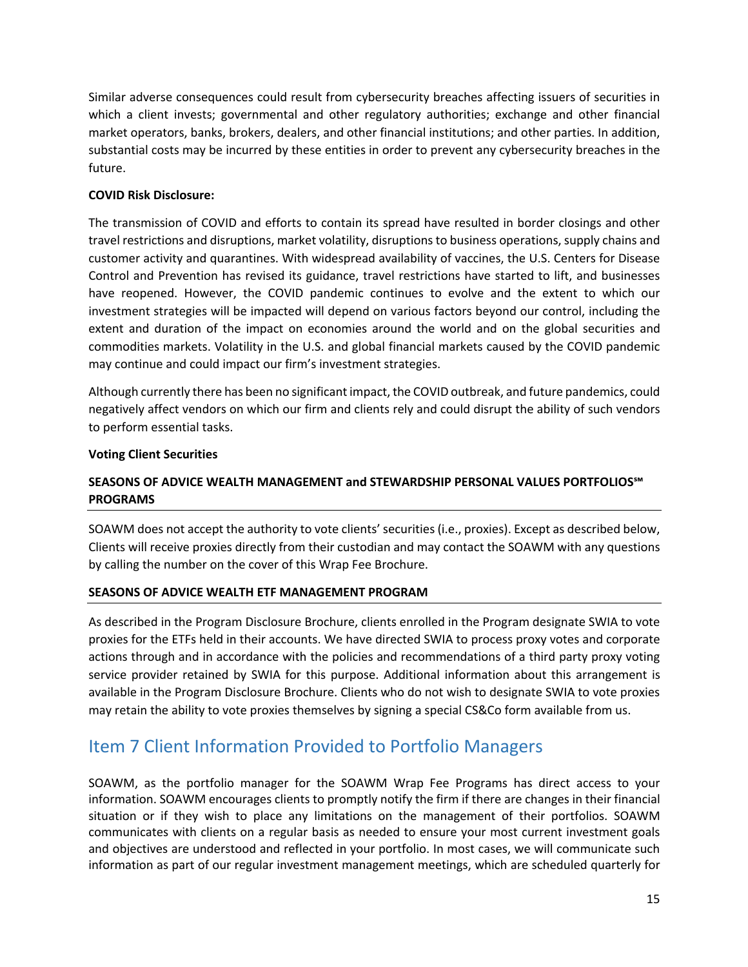Similar adverse consequences could result from cybersecurity breaches affecting issuers of securities in which a client invests; governmental and other regulatory authorities; exchange and other financial market operators, banks, brokers, dealers, and other financial institutions; and other parties. In addition, substantial costs may be incurred by these entities in order to prevent any cybersecurity breaches in the future.

## **COVID Risk Disclosure:**

The transmission of COVID and efforts to contain its spread have resulted in border closings and other travel restrictions and disruptions, market volatility, disruptions to business operations, supply chains and customer activity and quarantines. With widespread availability of vaccines, the U.S. Centers for Disease Control and Prevention has revised its guidance, travel restrictions have started to lift, and businesses have reopened. However, the COVID pandemic continues to evolve and the extent to which our investment strategies will be impacted will depend on various factors beyond our control, including the extent and duration of the impact on economies around the world and on the global securities and commodities markets. Volatility in the U.S. and global financial markets caused by the COVID pandemic may continue and could impact our firm's investment strategies.

Although currently there has been no significant impact, the COVID outbreak, and future pandemics, could negatively affect vendors on which our firm and clients rely and could disrupt the ability of such vendors to perform essential tasks.

## **Voting Client Securities**

## **SEASONS OF ADVICE WEALTH MANAGEMENT and STEWARDSHIP PERSONAL VALUES PORTFOLIOS℠ PROGRAMS**

SOAWM does not accept the authority to vote clients' securities (i.e., proxies). Except as described below, Clients will receive proxies directly from their custodian and may contact the SOAWM with any questions by calling the number on the cover of this Wrap Fee Brochure.

## **SEASONS OF ADVICE WEALTH ETF MANAGEMENT PROGRAM**

As described in the Program Disclosure Brochure, clients enrolled in the Program designate SWIA to vote proxies for the ETFs held in their accounts. We have directed SWIA to process proxy votes and corporate actions through and in accordance with the policies and recommendations of a third party proxy voting service provider retained by SWIA for this purpose. Additional information about this arrangement is available in the Program Disclosure Brochure. Clients who do not wish to designate SWIA to vote proxies may retain the ability to vote proxies themselves by signing a special CS&Co form available from us.

## Item 7 Client Information Provided to Portfolio Managers

SOAWM, as the portfolio manager for the SOAWM Wrap Fee Programs has direct access to your information. SOAWM encourages clients to promptly notify the firm if there are changes in their financial situation or if they wish to place any limitations on the management of their portfolios. SOAWM communicates with clients on a regular basis as needed to ensure your most current investment goals and objectives are understood and reflected in your portfolio. In most cases, we will communicate such information as part of our regular investment management meetings, which are scheduled quarterly for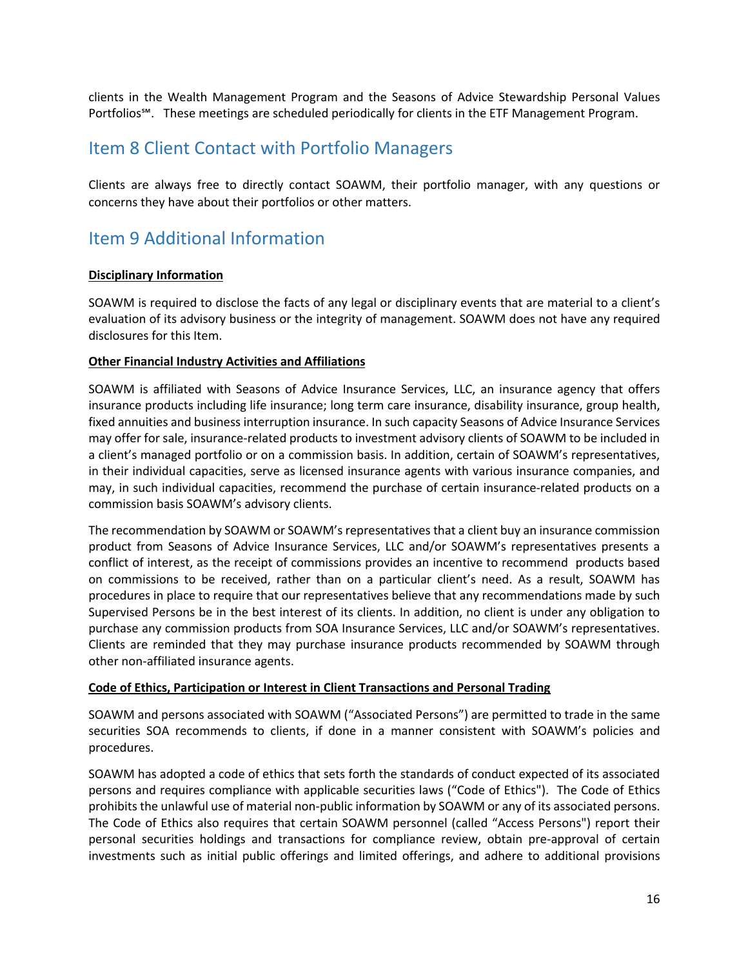clients in the Wealth Management Program and the Seasons of Advice Stewardship Personal Values Portfolios℠. These meetings are scheduled periodically for clients in the ETF Management Program.

## Item 8 Client Contact with Portfolio Managers

Clients are always free to directly contact SOAWM, their portfolio manager, with any questions or concerns they have about their portfolios or other matters.

## Item 9 Additional Information

## **Disciplinary Information**

SOAWM is required to disclose the facts of any legal or disciplinary events that are material to a client's evaluation of its advisory business or the integrity of management. SOAWM does not have any required disclosures for this Item.

## **Other Financial Industry Activities and Affiliations**

SOAWM is affiliated with Seasons of Advice Insurance Services, LLC, an insurance agency that offers insurance products including life insurance; long term care insurance, disability insurance, group health, fixed annuities and business interruption insurance. In such capacity Seasons of Advice Insurance Services may offer for sale, insurance-related products to investment advisory clients of SOAWM to be included in a client's managed portfolio or on a commission basis. In addition, certain of SOAWM's representatives, in their individual capacities, serve as licensed insurance agents with various insurance companies, and may, in such individual capacities, recommend the purchase of certain insurance-related products on a commission basis SOAWM's advisory clients.

The recommendation by SOAWM or SOAWM's representatives that a client buy an insurance commission product from Seasons of Advice Insurance Services, LLC and/or SOAWM's representatives presents a conflict of interest, as the receipt of commissions provides an incentive to recommend products based on commissions to be received, rather than on a particular client's need. As a result, SOAWM has procedures in place to require that our representatives believe that any recommendations made by such Supervised Persons be in the best interest of its clients. In addition, no client is under any obligation to purchase any commission products from SOA Insurance Services, LLC and/or SOAWM's representatives. Clients are reminded that they may purchase insurance products recommended by SOAWM through other non-affiliated insurance agents.

## **Code of Ethics, Participation or Interest in Client Transactions and Personal Trading**

SOAWM and persons associated with SOAWM ("Associated Persons") are permitted to trade in the same securities SOA recommends to clients, if done in a manner consistent with SOAWM's policies and procedures.

SOAWM has adopted a code of ethics that sets forth the standards of conduct expected of its associated persons and requires compliance with applicable securities laws ("Code of Ethics"). The Code of Ethics prohibits the unlawful use of material non-public information by SOAWM or any of its associated persons. The Code of Ethics also requires that certain SOAWM personnel (called "Access Persons") report their personal securities holdings and transactions for compliance review, obtain pre-approval of certain investments such as initial public offerings and limited offerings, and adhere to additional provisions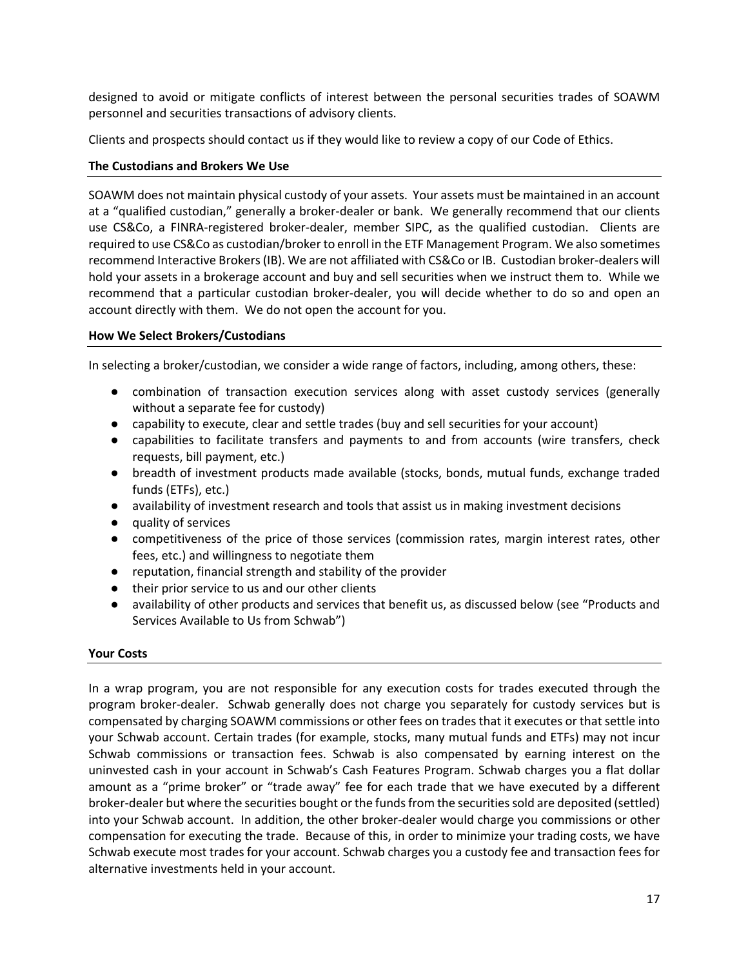designed to avoid or mitigate conflicts of interest between the personal securities trades of SOAWM personnel and securities transactions of advisory clients.

Clients and prospects should contact us if they would like to review a copy of our Code of Ethics.

## **The Custodians and Brokers We Use**

SOAWM does not maintain physical custody of your assets. Your assets must be maintained in an account at a "qualified custodian," generally a broker-dealer or bank. We generally recommend that our clients use CS&Co, a FINRA-registered broker-dealer, member SIPC, as the qualified custodian. Clients are required to use CS&Co as custodian/broker to enroll in the ETF Management Program. We also sometimes recommend Interactive Brokers (IB). We are not affiliated with CS&Co or IB. Custodian broker-dealers will hold your assets in a brokerage account and buy and sell securities when we instruct them to. While we recommend that a particular custodian broker-dealer, you will decide whether to do so and open an account directly with them. We do not open the account for you.

## **How We Select Brokers/Custodians**

In selecting a broker/custodian, we consider a wide range of factors, including, among others, these:

- combination of transaction execution services along with asset custody services (generally without a separate fee for custody)
- capability to execute, clear and settle trades (buy and sell securities for your account)
- capabilities to facilitate transfers and payments to and from accounts (wire transfers, check requests, bill payment, etc.)
- breadth of investment products made available (stocks, bonds, mutual funds, exchange traded funds (ETFs), etc.)
- availability of investment research and tools that assist us in making investment decisions
- quality of services
- competitiveness of the price of those services (commission rates, margin interest rates, other fees, etc.) and willingness to negotiate them
- reputation, financial strength and stability of the provider
- their prior service to us and our other clients
- availability of other products and services that benefit us, as discussed below (see "Products and Services Available to Us from Schwab")

## **Your Costs**

In a wrap program, you are not responsible for any execution costs for trades executed through the program broker-dealer. Schwab generally does not charge you separately for custody services but is compensated by charging SOAWM commissions or other fees on trades that it executes or that settle into your Schwab account. Certain trades (for example, stocks, many mutual funds and ETFs) may not incur Schwab commissions or transaction fees. Schwab is also compensated by earning interest on the uninvested cash in your account in Schwab's Cash Features Program. Schwab charges you a flat dollar amount as a "prime broker" or "trade away" fee for each trade that we have executed by a different broker-dealer but where the securities bought or the funds from the securities sold are deposited (settled) into your Schwab account. In addition, the other broker-dealer would charge you commissions or other compensation for executing the trade. Because of this, in order to minimize your trading costs, we have Schwab execute most trades for your account. Schwab charges you a custody fee and transaction fees for alternative investments held in your account.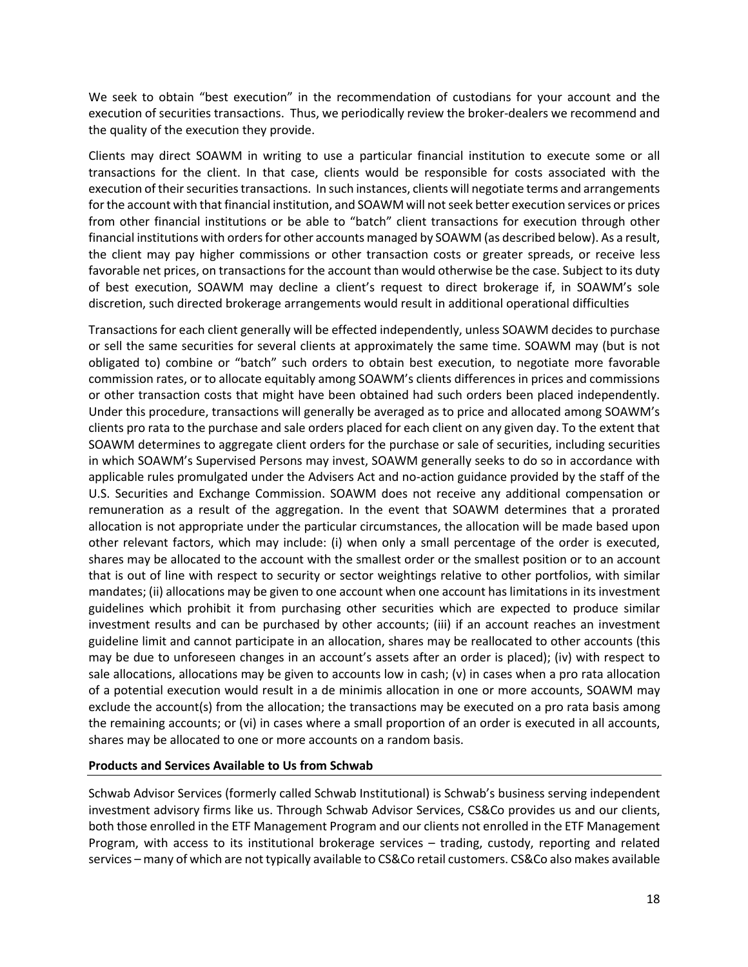We seek to obtain "best execution" in the recommendation of custodians for your account and the execution of securities transactions. Thus, we periodically review the broker-dealers we recommend and the quality of the execution they provide.

Clients may direct SOAWM in writing to use a particular financial institution to execute some or all transactions for the client. In that case, clients would be responsible for costs associated with the execution of their securities transactions. In such instances, clients will negotiate terms and arrangements for the account with that financial institution, and SOAWM will not seek better execution services or prices from other financial institutions or be able to "batch" client transactions for execution through other financial institutions with orders for other accounts managed by SOAWM (as described below). As a result, the client may pay higher commissions or other transaction costs or greater spreads, or receive less favorable net prices, on transactions for the account than would otherwise be the case. Subject to its duty of best execution, SOAWM may decline a client's request to direct brokerage if, in SOAWM's sole discretion, such directed brokerage arrangements would result in additional operational difficulties

Transactions for each client generally will be effected independently, unless SOAWM decides to purchase or sell the same securities for several clients at approximately the same time. SOAWM may (but is not obligated to) combine or "batch" such orders to obtain best execution, to negotiate more favorable commission rates, or to allocate equitably among SOAWM's clients differences in prices and commissions or other transaction costs that might have been obtained had such orders been placed independently. Under this procedure, transactions will generally be averaged as to price and allocated among SOAWM's clients pro rata to the purchase and sale orders placed for each client on any given day. To the extent that SOAWM determines to aggregate client orders for the purchase or sale of securities, including securities in which SOAWM's Supervised Persons may invest, SOAWM generally seeks to do so in accordance with applicable rules promulgated under the Advisers Act and no-action guidance provided by the staff of the U.S. Securities and Exchange Commission. SOAWM does not receive any additional compensation or remuneration as a result of the aggregation. In the event that SOAWM determines that a prorated allocation is not appropriate under the particular circumstances, the allocation will be made based upon other relevant factors, which may include: (i) when only a small percentage of the order is executed, shares may be allocated to the account with the smallest order or the smallest position or to an account that is out of line with respect to security or sector weightings relative to other portfolios, with similar mandates; (ii) allocations may be given to one account when one account has limitations in its investment guidelines which prohibit it from purchasing other securities which are expected to produce similar investment results and can be purchased by other accounts; (iii) if an account reaches an investment guideline limit and cannot participate in an allocation, shares may be reallocated to other accounts (this may be due to unforeseen changes in an account's assets after an order is placed); (iv) with respect to sale allocations, allocations may be given to accounts low in cash; (v) in cases when a pro rata allocation of a potential execution would result in a de minimis allocation in one or more accounts, SOAWM may exclude the account(s) from the allocation; the transactions may be executed on a pro rata basis among the remaining accounts; or (vi) in cases where a small proportion of an order is executed in all accounts, shares may be allocated to one or more accounts on a random basis.

#### **Products and Services Available to Us from Schwab**

Schwab Advisor Services (formerly called Schwab Institutional) is Schwab's business serving independent investment advisory firms like us. Through Schwab Advisor Services, CS&Co provides us and our clients, both those enrolled in the ETF Management Program and our clients not enrolled in the ETF Management Program, with access to its institutional brokerage services – trading, custody, reporting and related services – many of which are not typically available to CS&Co retail customers. CS&Co also makes available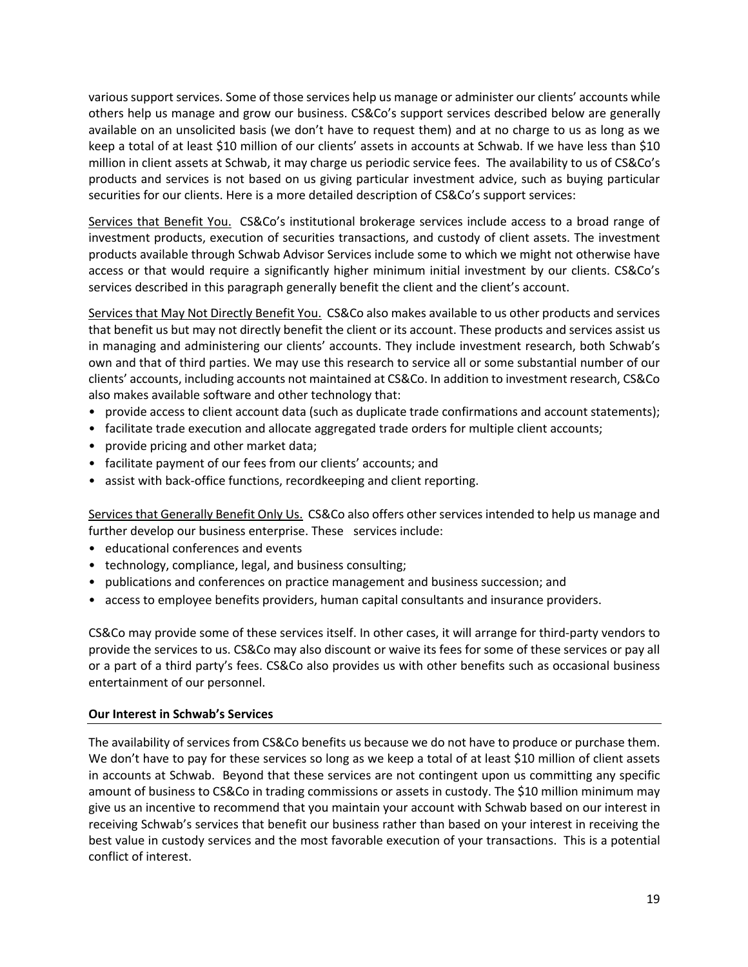various support services. Some of those services help us manage or administer our clients' accounts while others help us manage and grow our business. CS&Co's support services described below are generally available on an unsolicited basis (we don't have to request them) and at no charge to us as long as we keep a total of at least \$10 million of our clients' assets in accounts at Schwab. If we have less than \$10 million in client assets at Schwab, it may charge us periodic service fees. The availability to us of CS&Co's products and services is not based on us giving particular investment advice, such as buying particular securities for our clients. Here is a more detailed description of CS&Co's support services:

Services that Benefit You. CS&Co's institutional brokerage services include access to a broad range of investment products, execution of securities transactions, and custody of client assets. The investment products available through Schwab Advisor Services include some to which we might not otherwise have access or that would require a significantly higher minimum initial investment by our clients. CS&Co's services described in this paragraph generally benefit the client and the client's account.

Services that May Not Directly Benefit You. CS&Co also makes available to us other products and services that benefit us but may not directly benefit the client or its account. These products and services assist us in managing and administering our clients' accounts. They include investment research, both Schwab's own and that of third parties. We may use this research to service all or some substantial number of our clients' accounts, including accounts not maintained at CS&Co. In addition to investment research, CS&Co also makes available software and other technology that:

- provide access to client account data (such as duplicate trade confirmations and account statements);
- facilitate trade execution and allocate aggregated trade orders for multiple client accounts;
- provide pricing and other market data;
- facilitate payment of our fees from our clients' accounts; and
- assist with back-office functions, recordkeeping and client reporting.

Services that Generally Benefit Only Us. CS&Co also offers other services intended to help us manage and further develop our business enterprise. These services include:

- educational conferences and events
- technology, compliance, legal, and business consulting;
- publications and conferences on practice management and business succession; and
- access to employee benefits providers, human capital consultants and insurance providers.

CS&Co may provide some of these services itself. In other cases, it will arrange for third-party vendors to provide the services to us. CS&Co may also discount or waive its fees for some of these services or pay all or a part of a third party's fees. CS&Co also provides us with other benefits such as occasional business entertainment of our personnel.

## **Our Interest in Schwab's Services**

The availability of services from CS&Co benefits us because we do not have to produce or purchase them. We don't have to pay for these services so long as we keep a total of at least \$10 million of client assets in accounts at Schwab. Beyond that these services are not contingent upon us committing any specific amount of business to CS&Co in trading commissions or assets in custody. The \$10 million minimum may give us an incentive to recommend that you maintain your account with Schwab based on our interest in receiving Schwab's services that benefit our business rather than based on your interest in receiving the best value in custody services and the most favorable execution of your transactions. This is a potential conflict of interest.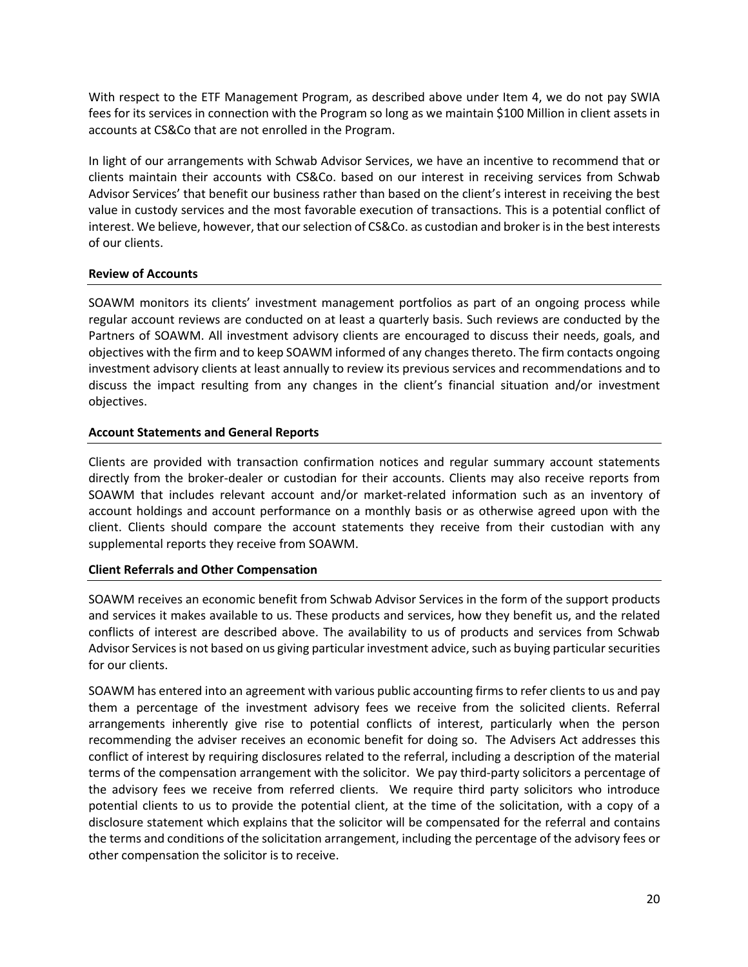With respect to the ETF Management Program, as described above under Item 4, we do not pay SWIA fees for its services in connection with the Program so long as we maintain \$100 Million in client assets in accounts at CS&Co that are not enrolled in the Program.

In light of our arrangements with Schwab Advisor Services, we have an incentive to recommend that or clients maintain their accounts with CS&Co. based on our interest in receiving services from Schwab Advisor Services' that benefit our business rather than based on the client's interest in receiving the best value in custody services and the most favorable execution of transactions. This is a potential conflict of interest. We believe, however, that our selection of CS&Co. as custodian and broker is in the best interests of our clients.

## **Review of Accounts**

SOAWM monitors its clients' investment management portfolios as part of an ongoing process while regular account reviews are conducted on at least a quarterly basis. Such reviews are conducted by the Partners of SOAWM. All investment advisory clients are encouraged to discuss their needs, goals, and objectives with the firm and to keep SOAWM informed of any changes thereto. The firm contacts ongoing investment advisory clients at least annually to review its previous services and recommendations and to discuss the impact resulting from any changes in the client's financial situation and/or investment objectives.

#### **Account Statements and General Reports**

Clients are provided with transaction confirmation notices and regular summary account statements directly from the broker-dealer or custodian for their accounts. Clients may also receive reports from SOAWM that includes relevant account and/or market-related information such as an inventory of account holdings and account performance on a monthly basis or as otherwise agreed upon with the client. Clients should compare the account statements they receive from their custodian with any supplemental reports they receive from SOAWM.

#### **Client Referrals and Other Compensation**

SOAWM receives an economic benefit from Schwab Advisor Services in the form of the support products and services it makes available to us. These products and services, how they benefit us, and the related conflicts of interest are described above. The availability to us of products and services from Schwab Advisor Services is not based on us giving particular investment advice, such as buying particular securities for our clients.

SOAWM has entered into an agreement with various public accounting firms to refer clients to us and pay them a percentage of the investment advisory fees we receive from the solicited clients. Referral arrangements inherently give rise to potential conflicts of interest, particularly when the person recommending the adviser receives an economic benefit for doing so. The Advisers Act addresses this conflict of interest by requiring disclosures related to the referral, including a description of the material terms of the compensation arrangement with the solicitor. We pay third-party solicitors a percentage of the advisory fees we receive from referred clients. We require third party solicitors who introduce potential clients to us to provide the potential client, at the time of the solicitation, with a copy of a disclosure statement which explains that the solicitor will be compensated for the referral and contains the terms and conditions of the solicitation arrangement, including the percentage of the advisory fees or other compensation the solicitor is to receive.